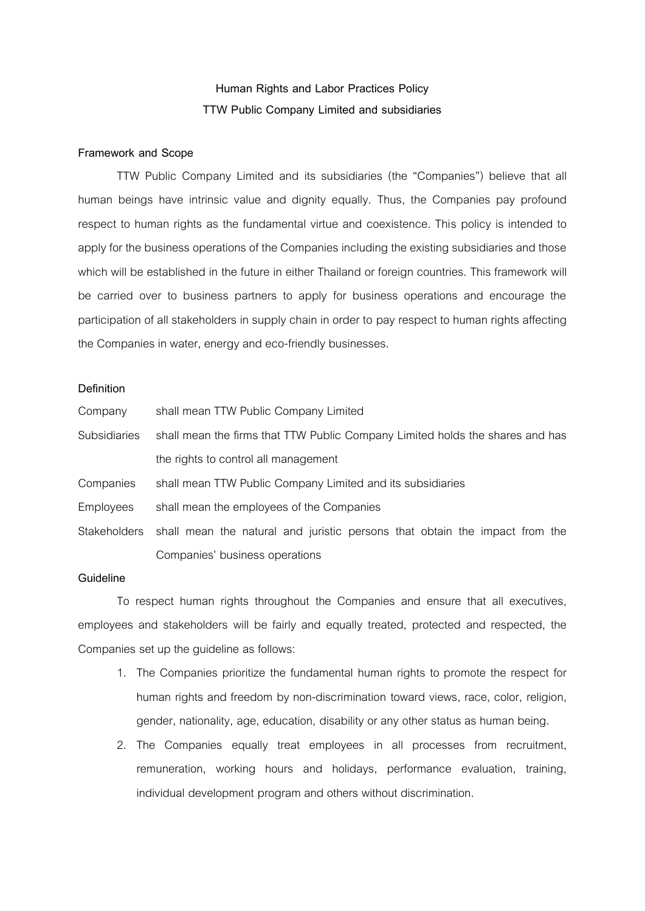## **Human Rights and Labor Practices Policy TTW Public Company Limited and subsidiaries**

## **Framework and Scope**

TTW Public Company Limited and its subsidiaries (the "Companies") believe that all human beings have intrinsic value and dignity equally. Thus, the Companies pay profound respect to human rights as the fundamental virtue and coexistence. This policy is intended to apply for the business operations of the Companies including the existing subsidiaries and those which will be established in the future in either Thailand or foreign countries. This framework will be carried over to business partners to apply for business operations and encourage the participation of all stakeholders in supply chain in order to pay respect to human rights affecting the Companies in water, energy and eco-friendly businesses.

## **Definition**

| Company             | shall mean TTW Public Company Limited                                                    |
|---------------------|------------------------------------------------------------------------------------------|
| <b>Subsidiaries</b> | shall mean the firms that TTW Public Company Limited holds the shares and has            |
|                     | the rights to control all management                                                     |
| Companies           | shall mean TTW Public Company Limited and its subsidiaries                               |
| Employees           | shall mean the employees of the Companies                                                |
|                     | Stakeholders shall mean the natural and juristic persons that obtain the impact from the |
|                     | Companies' business operations                                                           |

## **Guideline**

To respect human rights throughout the Companies and ensure that all executives, employees and stakeholders will be fairly and equally treated, protected and respected, the Companies set up the guideline as follows:

- 1. The Companies prioritize the fundamental human rights to promote the respect for human rights and freedom by non-discrimination toward views, race, color, religion, gender, nationality, age, education, disability or any other status as human being.
- 2. The Companies equally treat employees in all processes from recruitment, remuneration, working hours and holidays, performance evaluation, training, individual development program and others without discrimination.